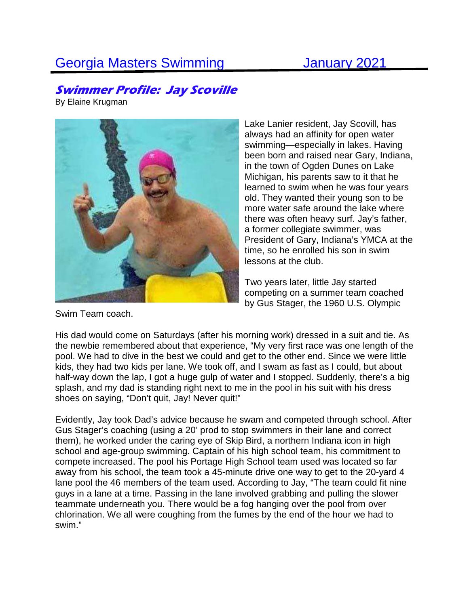## Georgia Masters Swimming **January 2021**

## **Swimmer Profile: Jay Scoville**

By Elaine Krugman



Lake Lanier resident, Jay Scovill, has always had an affinity for open water swimming—especially in lakes. Having been born and raised near Gary, Indiana, in the town of Ogden Dunes on Lake Michigan, his parents saw to it that he learned to swim when he was four years old. They wanted their young son to be more water safe around the lake where there was often heavy surf. Jay's father, a former collegiate swimmer, was President of Gary, Indiana's YMCA at the time, so he enrolled his son in swim lessons at the club.

Two years later, little Jay started competing on a summer team coached by Gus Stager, the 1960 U.S. Olympic

Swim Team coach.

His dad would come on Saturdays (after his morning work) dressed in a suit and tie. As the newbie remembered about that experience, "My very first race was one length of the pool. We had to dive in the best we could and get to the other end. Since we were little kids, they had two kids per lane. We took off, and I swam as fast as I could, but about half-way down the lap, I got a huge gulp of water and I stopped. Suddenly, there's a big splash, and my dad is standing right next to me in the pool in his suit with his dress shoes on saying, "Don't quit, Jay! Never quit!"

Evidently, Jay took Dad's advice because he swam and competed through school. After Gus Stager's coaching (using a 20' prod to stop swimmers in their lane and correct them), he worked under the caring eye of Skip Bird, a northern Indiana icon in high school and age-group swimming. Captain of his high school team, his commitment to compete increased. The pool his Portage High School team used was located so far away from his school, the team took a 45-minute drive one way to get to the 20-yard 4 lane pool the 46 members of the team used. According to Jay, "The team could fit nine guys in a lane at a time. Passing in the lane involved grabbing and pulling the slower teammate underneath you. There would be a fog hanging over the pool from over chlorination. We all were coughing from the fumes by the end of the hour we had to swim."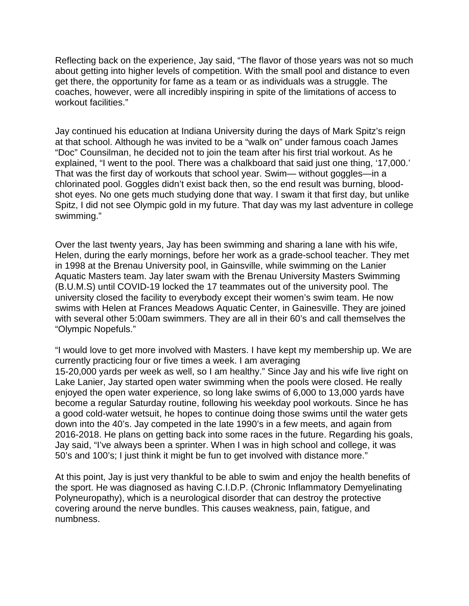Reflecting back on the experience, Jay said, "The flavor of those years was not so much about getting into higher levels of competition. With the small pool and distance to even get there, the opportunity for fame as a team or as individuals was a struggle. The coaches, however, were all incredibly inspiring in spite of the limitations of access to workout facilities."

Jay continued his education at Indiana University during the days of Mark Spitz's reign at that school. Although he was invited to be a "walk on" under famous coach James "Doc" Counsilman, he decided not to join the team after his first trial workout. As he explained, "I went to the pool. There was a chalkboard that said just one thing, '17,000.' That was the first day of workouts that school year. Swim— without goggles—in a chlorinated pool. Goggles didn't exist back then, so the end result was burning, bloodshot eyes. No one gets much studying done that way. I swam it that first day, but unlike Spitz, I did not see Olympic gold in my future. That day was my last adventure in college swimming."

Over the last twenty years, Jay has been swimming and sharing a lane with his wife, Helen, during the early mornings, before her work as a grade-school teacher. They met in 1998 at the Brenau University pool, in Gainsville, while swimming on the Lanier Aquatic Masters team. Jay later swam with the Brenau University Masters Swimming (B.U.M.S) until COVID-19 locked the 17 teammates out of the university pool. The university closed the facility to everybody except their women's swim team. He now swims with Helen at Frances Meadows Aquatic Center, in Gainesville. They are joined with several other 5:00am swimmers. They are all in their 60's and call themselves the "Olympic Nopefuls."

"I would love to get more involved with Masters. I have kept my membership up. We are currently practicing four or five times a week. I am averaging 15-20,000 yards per week as well, so I am healthy." Since Jay and his wife live right on Lake Lanier, Jay started open water swimming when the pools were closed. He really enjoyed the open water experience, so long lake swims of 6,000 to 13,000 yards have become a regular Saturday routine, following his weekday pool workouts. Since he has a good cold-water wetsuit, he hopes to continue doing those swims until the water gets down into the 40's. Jay competed in the late 1990's in a few meets, and again from 2016-2018. He plans on getting back into some races in the future. Regarding his goals, Jay said, "I've always been a sprinter. When I was in high school and college, it was 50's and 100's; I just think it might be fun to get involved with distance more."

At this point, Jay is just very thankful to be able to swim and enjoy the health benefits of the sport. He was diagnosed as having C.I.D.P. (Chronic Inflammatory Demyelinating Polyneuropathy), which is a neurological disorder that can destroy the protective covering around the nerve bundles. This causes weakness, pain, fatigue, and numbness.